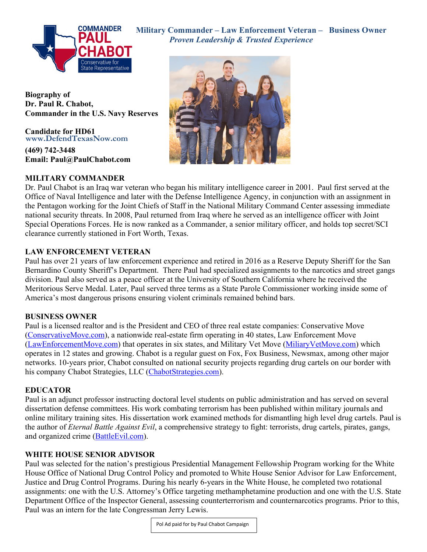

 **Military Commander – Law Enforcement Veteran – Business Owner** *Proven Leadership & Trusted Experience* 



**Biography of Dr. Paul R. Chabot, Commander in the U.S. Navy Reserves** 

**Candidate for HD61 www.DefendTexasNow.com**

**(469) 742-3448 Email: Paul@PaulChabot.com** 

## **MILITARY COMMANDER**

Dr. Paul Chabot is an Iraq war veteran who began his military intelligence career in 2001. Paul first served at the Office of Naval Intelligence and later with the Defense Intelligence Agency, in conjunction with an assignment in the Pentagon working for the Joint Chiefs of Staff in the National Military Command Center assessing immediate national security threats. In 2008, Paul returned from Iraq where he served as an intelligence officer with Joint Special Operations Forces. He is now ranked as a Commander, a senior military officer, and holds top secret/SCI clearance currently stationed in Fort Worth, Texas.

### **LAW ENFORCEMENT VETERAN**

Paul has over 21 years of law enforcement experience and retired in 2016 as a Reserve Deputy Sheriff for the San Bernardino County Sheriff's Department. There Paul had specialized assignments to the narcotics and street gangs division. Paul also served as a peace officer at the University of Southern California where he received the Meritorious Serve Medal. Later, Paul served three terms as a State Parole Commissioner working inside some of America's most dangerous prisons ensuring violent criminals remained behind bars.

# **BUSINESS OWNER**

Paul is a licensed realtor and is the President and CEO of three real estate companies: Conservative Move (ConservativeMove.com), a nationwide real-estate firm operating in 40 states, Law Enforcement Move (LawEnforcementMove.com) that operates in six states, and Military Vet Move (MiliaryVetMove.com) which operates in 12 states and growing. Chabot is a regular guest on Fox, Fox Business, Newsmax, among other major networks. 10-years prior, Chabot consulted on national security projects regarding drug cartels on our border with his company Chabot Strategies, LLC (ChabotStrategies.com).

# **EDUCATOR**

Paul is an adjunct professor instructing doctoral level students on public administration and has served on several dissertation defense committees. His work combating terrorism has been published within military journals and online military training sites. His dissertation work examined methods for dismantling high level drug cartels. Paul is the author of *Eternal Battle Against Evil*, a comprehensive strategy to fight: terrorists, drug cartels, pirates, gangs, and organized crime (BattleEvil.com).

### **WHITE HOUSE SENIOR ADVISOR**

Paul was selected for the nation's prestigious Presidential Management Fellowship Program working for the White House Office of National Drug Control Policy and promoted to White House Senior Advisor for Law Enforcement, Justice and Drug Control Programs. During his nearly 6-years in the White House, he completed two rotational assignments: one with the U.S. Attorney's Office targeting methamphetamine production and one with the U.S. State Department Office of the Inspector General, assessing counterterrorism and counternarcotics programs. Prior to this, Paul was an intern for the late Congressman Jerry Lewis.